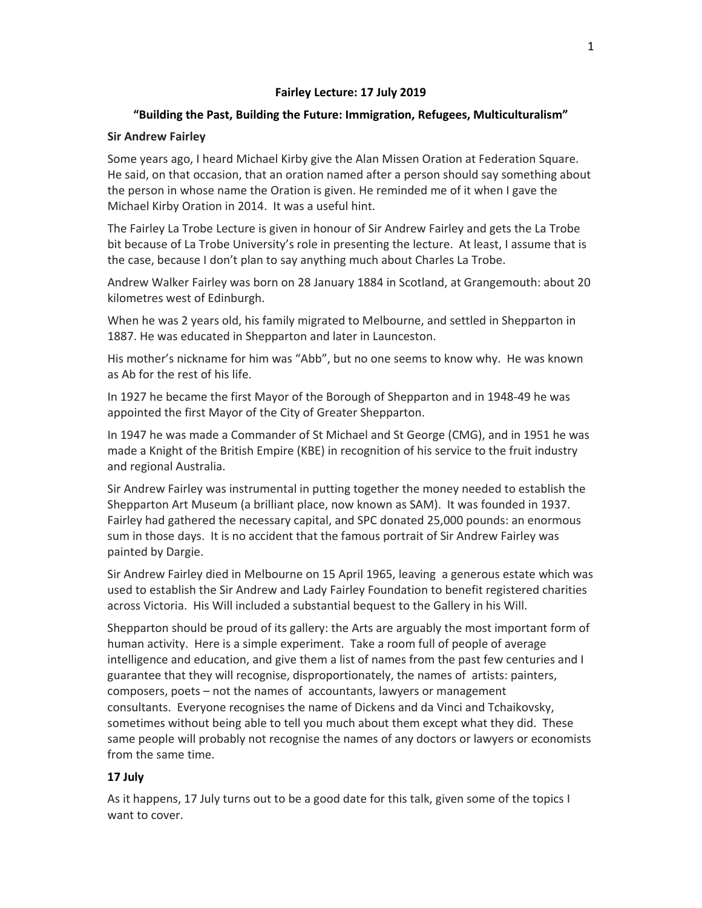## **Fairley Lecture: 17 July 2019**

# **"Building the Past, Building the Future: Immigration, Refugees, Multiculturalism"**

## **Sir Andrew Fairley**

Some years ago, I heard Michael Kirby give the Alan Missen Oration at Federation Square. He said, on that occasion, that an oration named after a person should say something about the person in whose name the Oration is given. He reminded me of it when I gave the Michael Kirby Oration in 2014. It was a useful hint.

The Fairley La Trobe Lecture is given in honour of Sir Andrew Fairley and gets the La Trobe bit because of La Trobe University's role in presenting the lecture. At least, I assume that is the case, because I don't plan to say anything much about Charles La Trobe.

Andrew Walker Fairley was born on 28 January 1884 in Scotland, at Grangemouth: about 20 kilometres west of Edinburgh.

When he was 2 years old, his family migrated to Melbourne, and settled in Shepparton in 1887. He was educated in Shepparton and later in Launceston.

His mother's nickname for him was "Abb", but no one seems to know why. He was known as Ab for the rest of his life.

In 1927 he became the first Mayor of the Borough of Shepparton and in 1948‐49 he was appointed the first Mayor of the City of Greater Shepparton.

In 1947 he was made a Commander of St Michael and St George (CMG), and in 1951 he was made a Knight of the British Empire (KBE) in recognition of his service to the fruit industry and regional Australia.

Sir Andrew Fairley was instrumental in putting together the money needed to establish the Shepparton Art Museum (a brilliant place, now known as SAM). It was founded in 1937. Fairley had gathered the necessary capital, and SPC donated 25,000 pounds: an enormous sum in those days. It is no accident that the famous portrait of Sir Andrew Fairley was painted by Dargie.

Sir Andrew Fairley died in Melbourne on 15 April 1965, leaving a generous estate which was used to establish the Sir Andrew and Lady Fairley Foundation to benefit registered charities across Victoria. His Will included a substantial bequest to the Gallery in his Will.

Shepparton should be proud of its gallery: the Arts are arguably the most important form of human activity. Here is a simple experiment. Take a room full of people of average intelligence and education, and give them a list of names from the past few centuries and I guarantee that they will recognise, disproportionately, the names of artists: painters, composers, poets – not the names of accountants, lawyers or management consultants. Everyone recognises the name of Dickens and da Vinci and Tchaikovsky, sometimes without being able to tell you much about them except what they did. These same people will probably not recognise the names of any doctors or lawyers or economists from the same time.

## **17 July**

As it happens, 17 July turns out to be a good date for this talk, given some of the topics I want to cover.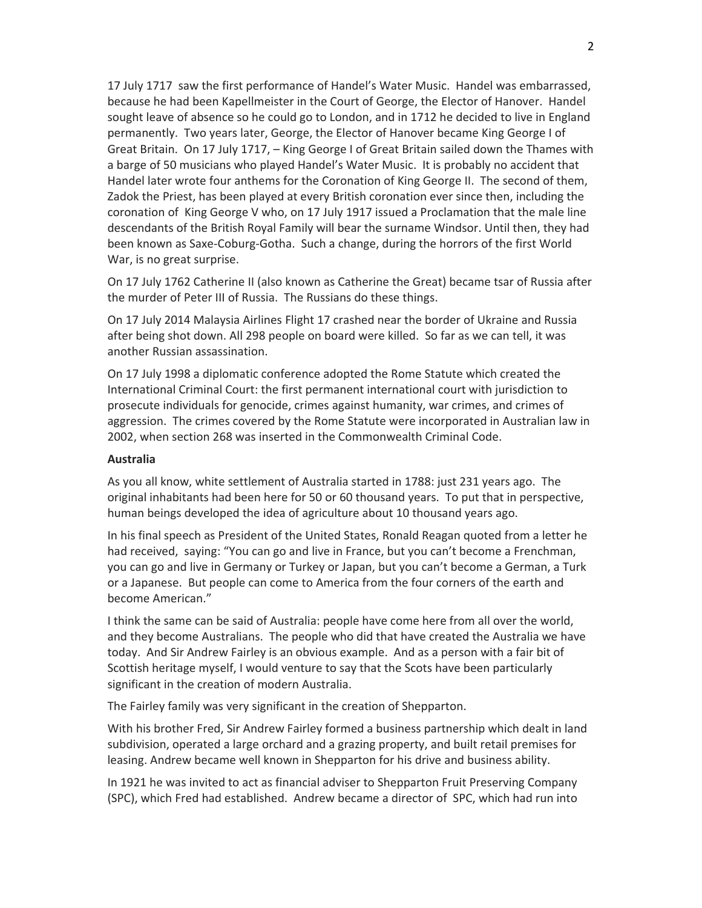17 July 1717 saw the first performance of Handel's Water Music. Handel was embarrassed, because he had been Kapellmeister in the Court of George, the Elector of Hanover. Handel sought leave of absence so he could go to London, and in 1712 he decided to live in England permanently. Two years later, George, the Elector of Hanover became King George I of Great Britain. On 17 July 1717, – King George I of Great Britain sailed down the Thames with a barge of 50 musicians who played Handel's Water Music. It is probably no accident that Handel later wrote four anthems for the Coronation of King George II. The second of them, Zadok the Priest, has been played at every British coronation ever since then, including the coronation of King George V who, on 17 July 1917 issued a Proclamation that the male line descendants of the British Royal Family will bear the surname Windsor. Until then, they had been known as Saxe‐Coburg‐Gotha. Such a change, during the horrors of the first World War, is no great surprise.

On 17 July 1762 Catherine II (also known as Catherine the Great) became tsar of Russia after the murder of Peter III of Russia. The Russians do these things.

On 17 July 2014 Malaysia Airlines Flight 17 crashed near the border of Ukraine and Russia after being shot down. All 298 people on board were killed. So far as we can tell, it was another Russian assassination.

On 17 July 1998 a diplomatic conference adopted the Rome Statute which created the International Criminal Court: the first permanent international court with jurisdiction to prosecute individuals for genocide, crimes against humanity, war crimes, and crimes of aggression. The crimes covered by the Rome Statute were incorporated in Australian law in 2002, when section 268 was inserted in the Commonwealth Criminal Code.

### **Australia**

As you all know, white settlement of Australia started in 1788: just 231 years ago. The original inhabitants had been here for 50 or 60 thousand years. To put that in perspective, human beings developed the idea of agriculture about 10 thousand years ago.

In his final speech as President of the United States, Ronald Reagan quoted from a letter he had received, saying: "You can go and live in France, but you can't become a Frenchman, you can go and live in Germany or Turkey or Japan, but you can't become a German, a Turk or a Japanese. But people can come to America from the four corners of the earth and become American."

I think the same can be said of Australia: people have come here from all over the world, and they become Australians. The people who did that have created the Australia we have today. And Sir Andrew Fairley is an obvious example. And as a person with a fair bit of Scottish heritage myself, I would venture to say that the Scots have been particularly significant in the creation of modern Australia.

The Fairley family was very significant in the creation of Shepparton.

With his brother Fred, Sir Andrew Fairley formed a business partnership which dealt in land subdivision, operated a large orchard and a grazing property, and built retail premises for leasing. Andrew became well known in Shepparton for his drive and business ability.

In 1921 he was invited to act as financial adviser to Shepparton Fruit Preserving Company (SPC), which Fred had established. Andrew became a director of SPC, which had run into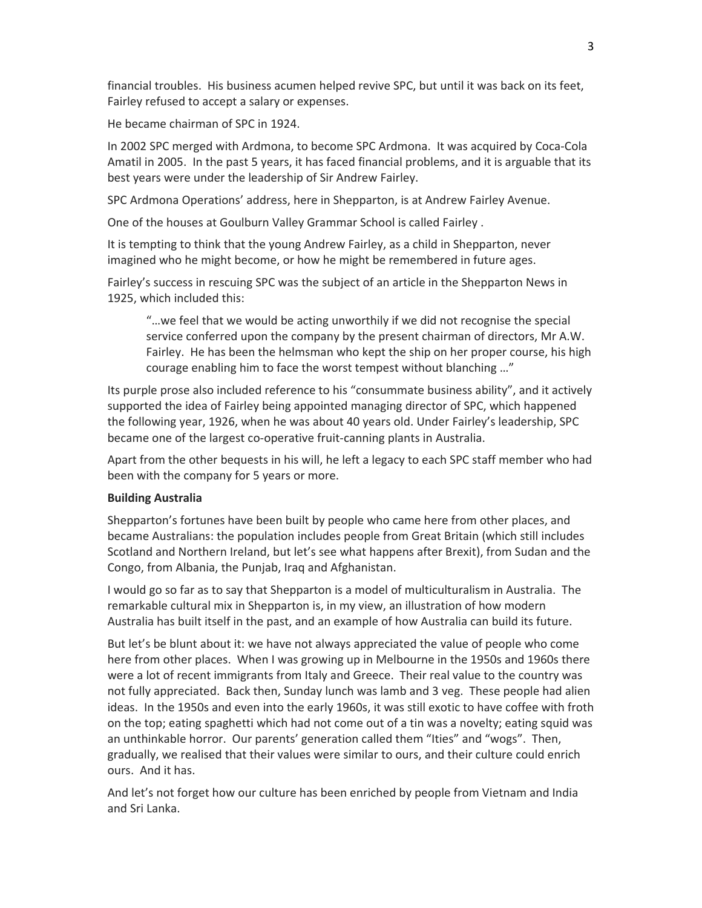financial troubles. His business acumen helped revive SPC, but until it was back on its feet, Fairley refused to accept a salary or expenses.

He became chairman of SPC in 1924.

In 2002 SPC merged with Ardmona, to become SPC Ardmona. It was acquired by Coca‐Cola Amatil in 2005. In the past 5 years, it has faced financial problems, and it is arguable that its best years were under the leadership of Sir Andrew Fairley.

SPC Ardmona Operations' address, here in Shepparton, is at Andrew Fairley Avenue.

One of the houses at Goulburn Valley Grammar School is called Fairley .

It is tempting to think that the young Andrew Fairley, as a child in Shepparton, never imagined who he might become, or how he might be remembered in future ages.

Fairley's success in rescuing SPC was the subject of an article in the Shepparton News in 1925, which included this:

"…we feel that we would be acting unworthily if we did not recognise the special service conferred upon the company by the present chairman of directors, Mr A.W. Fairley. He has been the helmsman who kept the ship on her proper course, his high courage enabling him to face the worst tempest without blanching …"

Its purple prose also included reference to his "consummate business ability", and it actively supported the idea of Fairley being appointed managing director of SPC, which happened the following year, 1926, when he was about 40 years old. Under Fairley's leadership, SPC became one of the largest co‐operative fruit‐canning plants in Australia.

Apart from the other bequests in his will, he left a legacy to each SPC staff member who had been with the company for 5 years or more.

### **Building Australia**

Shepparton's fortunes have been built by people who came here from other places, and became Australians: the population includes people from Great Britain (which still includes Scotland and Northern Ireland, but let's see what happens after Brexit), from Sudan and the Congo, from Albania, the Punjab, Iraq and Afghanistan.

I would go so far as to say that Shepparton is a model of multiculturalism in Australia. The remarkable cultural mix in Shepparton is, in my view, an illustration of how modern Australia has built itself in the past, and an example of how Australia can build its future.

But let's be blunt about it: we have not always appreciated the value of people who come here from other places. When I was growing up in Melbourne in the 1950s and 1960s there were a lot of recent immigrants from Italy and Greece. Their real value to the country was not fully appreciated. Back then, Sunday lunch was lamb and 3 veg. These people had alien ideas. In the 1950s and even into the early 1960s, it was still exotic to have coffee with froth on the top; eating spaghetti which had not come out of a tin was a novelty; eating squid was an unthinkable horror. Our parents' generation called them "Ities" and "wogs". Then, gradually, we realised that their values were similar to ours, and their culture could enrich ours. And it has.

And let's not forget how our culture has been enriched by people from Vietnam and India and Sri Lanka.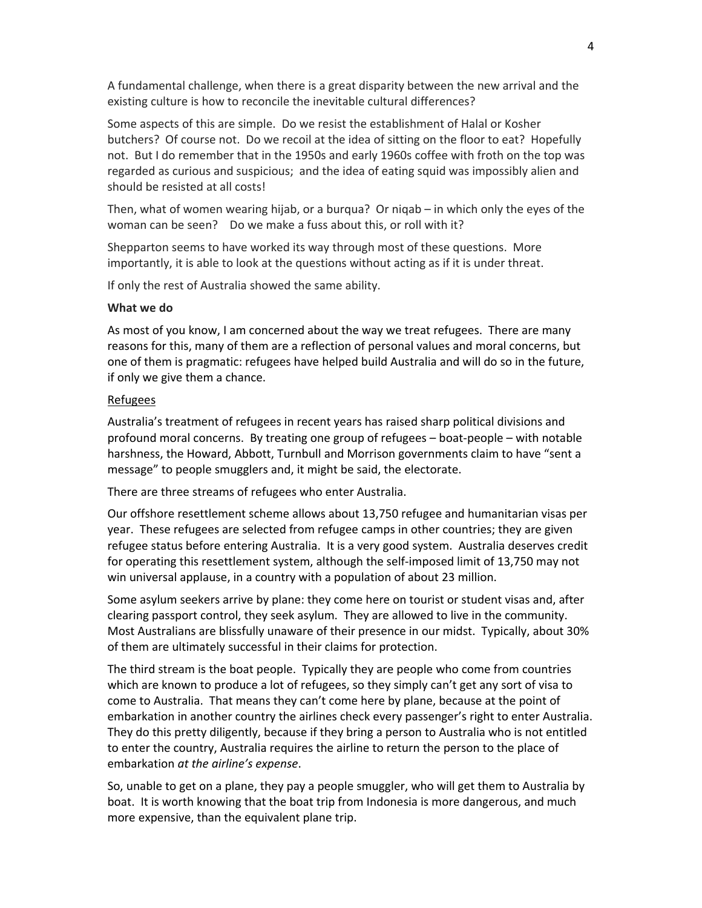A fundamental challenge, when there is a great disparity between the new arrival and the existing culture is how to reconcile the inevitable cultural differences?

Some aspects of this are simple. Do we resist the establishment of Halal or Kosher butchers? Of course not. Do we recoil at the idea of sitting on the floor to eat? Hopefully not. But I do remember that in the 1950s and early 1960s coffee with froth on the top was regarded as curious and suspicious; and the idea of eating squid was impossibly alien and should be resisted at all costs!

Then, what of women wearing hijab, or a burqua? Or niqab – in which only the eyes of the woman can be seen? Do we make a fuss about this, or roll with it?

Shepparton seems to have worked its way through most of these questions. More importantly, it is able to look at the questions without acting as if it is under threat.

If only the rest of Australia showed the same ability.

#### **What we do**

As most of you know, I am concerned about the way we treat refugees. There are many reasons for this, many of them are a reflection of personal values and moral concerns, but one of them is pragmatic: refugees have helped build Australia and will do so in the future, if only we give them a chance.

### Refugees

Australia's treatment of refugees in recent years has raised sharp political divisions and profound moral concerns. By treating one group of refugees – boat‐people – with notable harshness, the Howard, Abbott, Turnbull and Morrison governments claim to have "sent a message" to people smugglers and, it might be said, the electorate.

There are three streams of refugees who enter Australia.

Our offshore resettlement scheme allows about 13,750 refugee and humanitarian visas per year. These refugees are selected from refugee camps in other countries; they are given refugee status before entering Australia. It is a very good system. Australia deserves credit for operating this resettlement system, although the self-imposed limit of 13,750 may not win universal applause, in a country with a population of about 23 million.

Some asylum seekers arrive by plane: they come here on tourist or student visas and, after clearing passport control, they seek asylum. They are allowed to live in the community. Most Australians are blissfully unaware of their presence in our midst. Typically, about 30% of them are ultimately successful in their claims for protection.

The third stream is the boat people. Typically they are people who come from countries which are known to produce a lot of refugees, so they simply can't get any sort of visa to come to Australia. That means they can't come here by plane, because at the point of embarkation in another country the airlines check every passenger's right to enter Australia. They do this pretty diligently, because if they bring a person to Australia who is not entitled to enter the country, Australia requires the airline to return the person to the place of embarkation *at the airline's expense*.

So, unable to get on a plane, they pay a people smuggler, who will get them to Australia by boat. It is worth knowing that the boat trip from Indonesia is more dangerous, and much more expensive, than the equivalent plane trip.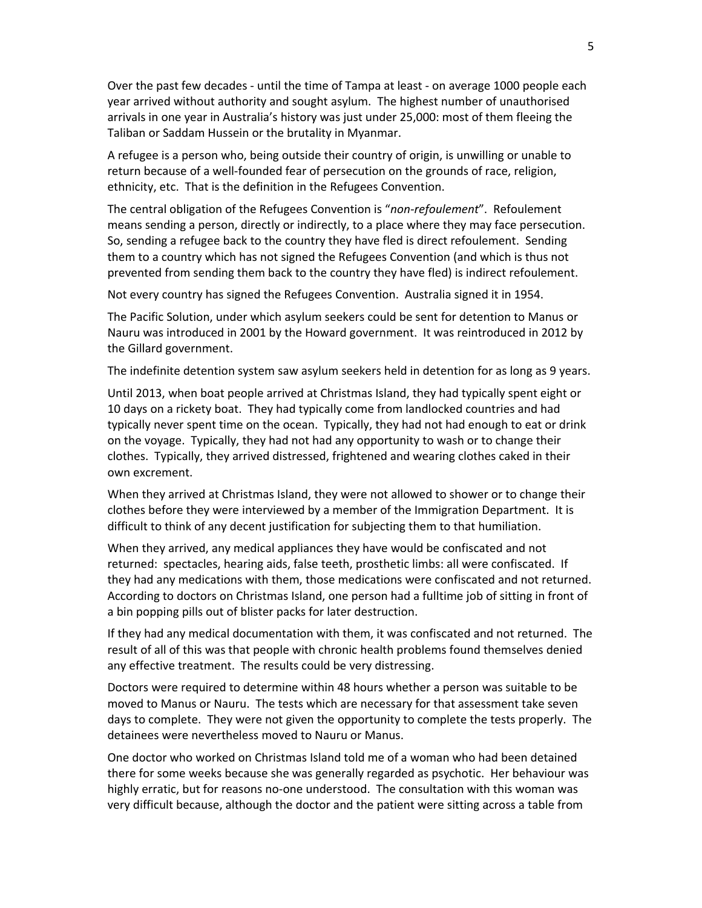Over the past few decades ‐ until the time of Tampa at least ‐ on average 1000 people each year arrived without authority and sought asylum. The highest number of unauthorised arrivals in one year in Australia's history was just under 25,000: most of them fleeing the Taliban or Saddam Hussein or the brutality in Myanmar.

A refugee is a person who, being outside their country of origin, is unwilling or unable to return because of a well-founded fear of persecution on the grounds of race, religion, ethnicity, etc. That is the definition in the Refugees Convention.

The central obligation of the Refugees Convention is "*non‐refoulement*". Refoulement means sending a person, directly or indirectly, to a place where they may face persecution. So, sending a refugee back to the country they have fled is direct refoulement. Sending them to a country which has not signed the Refugees Convention (and which is thus not prevented from sending them back to the country they have fled) is indirect refoulement.

Not every country has signed the Refugees Convention. Australia signed it in 1954.

The Pacific Solution, under which asylum seekers could be sent for detention to Manus or Nauru was introduced in 2001 by the Howard government. It was reintroduced in 2012 by the Gillard government.

The indefinite detention system saw asylum seekers held in detention for as long as 9 years.

Until 2013, when boat people arrived at Christmas Island, they had typically spent eight or 10 days on a rickety boat. They had typically come from landlocked countries and had typically never spent time on the ocean. Typically, they had not had enough to eat or drink on the voyage. Typically, they had not had any opportunity to wash or to change their clothes. Typically, they arrived distressed, frightened and wearing clothes caked in their own excrement.

When they arrived at Christmas Island, they were not allowed to shower or to change their clothes before they were interviewed by a member of the Immigration Department. It is difficult to think of any decent justification for subjecting them to that humiliation.

When they arrived, any medical appliances they have would be confiscated and not returned: spectacles, hearing aids, false teeth, prosthetic limbs: all were confiscated. If they had any medications with them, those medications were confiscated and not returned. According to doctors on Christmas Island, one person had a fulltime job of sitting in front of a bin popping pills out of blister packs for later destruction.

If they had any medical documentation with them, it was confiscated and not returned. The result of all of this was that people with chronic health problems found themselves denied any effective treatment. The results could be very distressing.

Doctors were required to determine within 48 hours whether a person was suitable to be moved to Manus or Nauru. The tests which are necessary for that assessment take seven days to complete. They were not given the opportunity to complete the tests properly. The detainees were nevertheless moved to Nauru or Manus.

One doctor who worked on Christmas Island told me of a woman who had been detained there for some weeks because she was generally regarded as psychotic. Her behaviour was highly erratic, but for reasons no-one understood. The consultation with this woman was very difficult because, although the doctor and the patient were sitting across a table from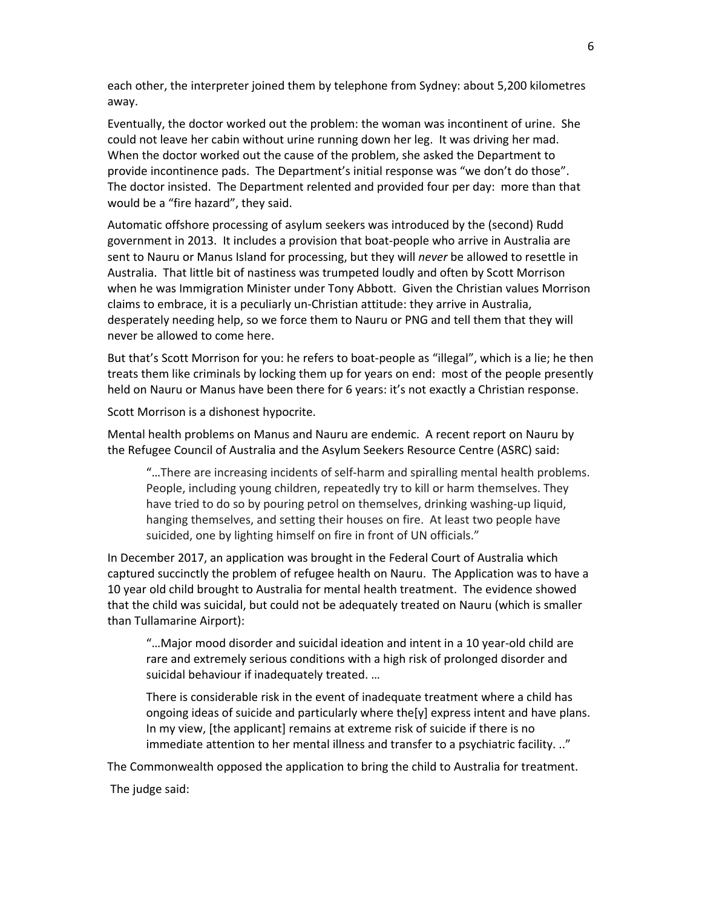each other, the interpreter joined them by telephone from Sydney: about 5,200 kilometres away.

Eventually, the doctor worked out the problem: the woman was incontinent of urine. She could not leave her cabin without urine running down her leg. It was driving her mad. When the doctor worked out the cause of the problem, she asked the Department to provide incontinence pads. The Department's initial response was "we don't do those". The doctor insisted. The Department relented and provided four per day: more than that would be a "fire hazard", they said.

Automatic offshore processing of asylum seekers was introduced by the (second) Rudd government in 2013. It includes a provision that boat‐people who arrive in Australia are sent to Nauru or Manus Island for processing, but they will *never* be allowed to resettle in Australia. That little bit of nastiness was trumpeted loudly and often by Scott Morrison when he was Immigration Minister under Tony Abbott. Given the Christian values Morrison claims to embrace, it is a peculiarly un‐Christian attitude: they arrive in Australia, desperately needing help, so we force them to Nauru or PNG and tell them that they will never be allowed to come here.

But that's Scott Morrison for you: he refers to boat‐people as "illegal", which is a lie; he then treats them like criminals by locking them up for years on end: most of the people presently held on Nauru or Manus have been there for 6 years: it's not exactly a Christian response.

Scott Morrison is a dishonest hypocrite.

Mental health problems on Manus and Nauru are endemic. A recent report on Nauru by the Refugee Council of Australia and the Asylum Seekers Resource Centre (ASRC) said:

"…There are increasing incidents of self‐harm and spiralling mental health problems. People, including young children, repeatedly try to kill or harm themselves. They have tried to do so by pouring petrol on themselves, drinking washing-up liquid, hanging themselves, and setting their houses on fire. At least two people have suicided, one by lighting himself on fire in front of UN officials."

In December 2017, an application was brought in the Federal Court of Australia which captured succinctly the problem of refugee health on Nauru. The Application was to have a 10 year old child brought to Australia for mental health treatment. The evidence showed that the child was suicidal, but could not be adequately treated on Nauru (which is smaller than Tullamarine Airport):

"…Major mood disorder and suicidal ideation and intent in a 10 year‐old child are rare and extremely serious conditions with a high risk of prolonged disorder and suicidal behaviour if inadequately treated. …

There is considerable risk in the event of inadequate treatment where a child has ongoing ideas of suicide and particularly where the[y] express intent and have plans. In my view, [the applicant] remains at extreme risk of suicide if there is no immediate attention to her mental illness and transfer to a psychiatric facility. .."

The Commonwealth opposed the application to bring the child to Australia for treatment.

The judge said: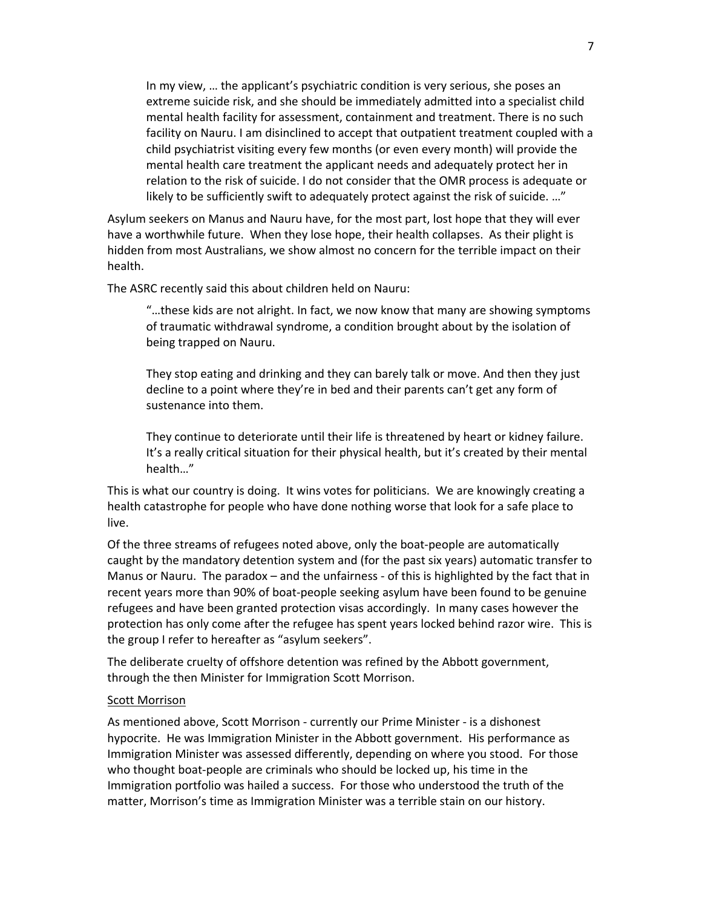In my view, … the applicant's psychiatric condition is very serious, she poses an extreme suicide risk, and she should be immediately admitted into a specialist child mental health facility for assessment, containment and treatment. There is no such facility on Nauru. I am disinclined to accept that outpatient treatment coupled with a child psychiatrist visiting every few months (or even every month) will provide the mental health care treatment the applicant needs and adequately protect her in relation to the risk of suicide. I do not consider that the OMR process is adequate or likely to be sufficiently swift to adequately protect against the risk of suicide. …"

Asylum seekers on Manus and Nauru have, for the most part, lost hope that they will ever have a worthwhile future. When they lose hope, their health collapses. As their plight is hidden from most Australians, we show almost no concern for the terrible impact on their health.

The ASRC recently said this about children held on Nauru:

"…these kids are not alright. In fact, we now know that many are showing symptoms of traumatic withdrawal syndrome, a condition brought about by the isolation of being trapped on Nauru.

They stop eating and drinking and they can barely talk or move. And then they just decline to a point where they're in bed and their parents can't get any form of sustenance into them.

They continue to deteriorate until their life is threatened by heart or kidney failure. It's a really critical situation for their physical health, but it's created by their mental health…"

This is what our country is doing. It wins votes for politicians. We are knowingly creating a health catastrophe for people who have done nothing worse that look for a safe place to live.

Of the three streams of refugees noted above, only the boat‐people are automatically caught by the mandatory detention system and (for the past six years) automatic transfer to Manus or Nauru. The paradox - and the unfairness - of this is highlighted by the fact that in recent years more than 90% of boat‐people seeking asylum have been found to be genuine refugees and have been granted protection visas accordingly. In many cases however the protection has only come after the refugee has spent years locked behind razor wire. This is the group I refer to hereafter as "asylum seekers".

The deliberate cruelty of offshore detention was refined by the Abbott government, through the then Minister for Immigration Scott Morrison.

#### Scott Morrison

As mentioned above, Scott Morrison ‐ currently our Prime Minister ‐ is a dishonest hypocrite. He was Immigration Minister in the Abbott government. His performance as Immigration Minister was assessed differently, depending on where you stood. For those who thought boat-people are criminals who should be locked up, his time in the Immigration portfolio was hailed a success. For those who understood the truth of the matter, Morrison's time as Immigration Minister was a terrible stain on our history.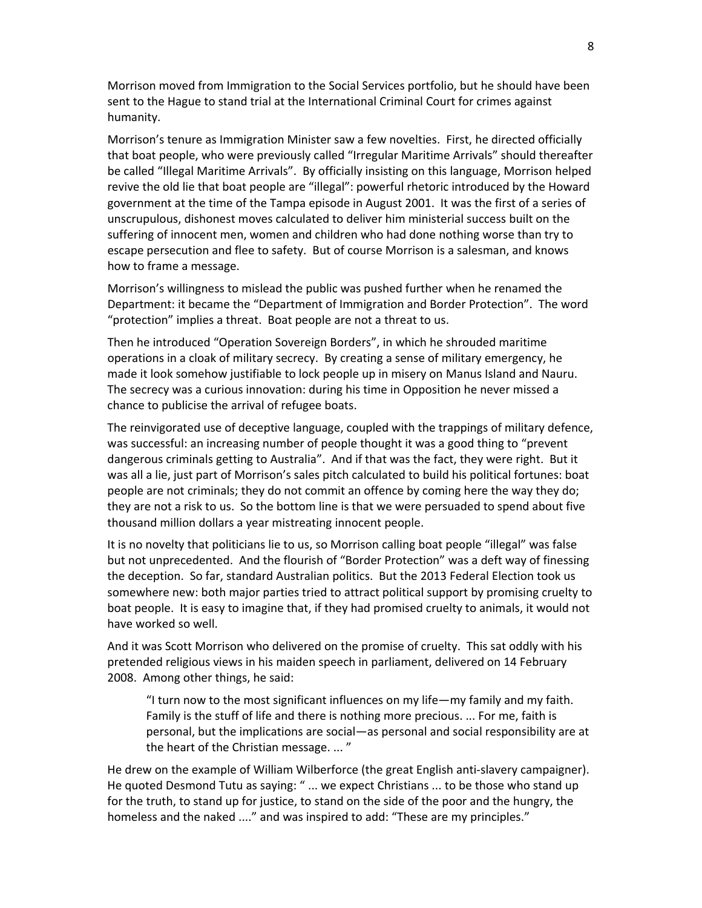Morrison moved from Immigration to the Social Services portfolio, but he should have been sent to the Hague to stand trial at the International Criminal Court for crimes against humanity.

Morrison's tenure as Immigration Minister saw a few novelties. First, he directed officially that boat people, who were previously called "Irregular Maritime Arrivals" should thereafter be called "Illegal Maritime Arrivals". By officially insisting on this language, Morrison helped revive the old lie that boat people are "illegal": powerful rhetoric introduced by the Howard government at the time of the Tampa episode in August 2001. It was the first of a series of unscrupulous, dishonest moves calculated to deliver him ministerial success built on the suffering of innocent men, women and children who had done nothing worse than try to escape persecution and flee to safety. But of course Morrison is a salesman, and knows how to frame a message.

Morrison's willingness to mislead the public was pushed further when he renamed the Department: it became the "Department of Immigration and Border Protection". The word "protection" implies a threat. Boat people are not a threat to us.

Then he introduced "Operation Sovereign Borders", in which he shrouded maritime operations in a cloak of military secrecy. By creating a sense of military emergency, he made it look somehow justifiable to lock people up in misery on Manus Island and Nauru. The secrecy was a curious innovation: during his time in Opposition he never missed a chance to publicise the arrival of refugee boats.

The reinvigorated use of deceptive language, coupled with the trappings of military defence, was successful: an increasing number of people thought it was a good thing to "prevent dangerous criminals getting to Australia". And if that was the fact, they were right. But it was all a lie, just part of Morrison's sales pitch calculated to build his political fortunes: boat people are not criminals; they do not commit an offence by coming here the way they do; they are not a risk to us. So the bottom line is that we were persuaded to spend about five thousand million dollars a year mistreating innocent people.

It is no novelty that politicians lie to us, so Morrison calling boat people "illegal" was false but not unprecedented. And the flourish of "Border Protection" was a deft way of finessing the deception. So far, standard Australian politics. But the 2013 Federal Election took us somewhere new: both major parties tried to attract political support by promising cruelty to boat people. It is easy to imagine that, if they had promised cruelty to animals, it would not have worked so well.

And it was Scott Morrison who delivered on the promise of cruelty. This sat oddly with his pretended religious views in his maiden speech in parliament, delivered on 14 February 2008. Among other things, he said:

"I turn now to the most significant influences on my life—my family and my faith. Family is the stuff of life and there is nothing more precious. ... For me, faith is personal, but the implications are social—as personal and social responsibility are at the heart of the Christian message. ... "

He drew on the example of William Wilberforce (the great English anti‐slavery campaigner). He quoted Desmond Tutu as saying: " ... we expect Christians ... to be those who stand up for the truth, to stand up for justice, to stand on the side of the poor and the hungry, the homeless and the naked ...." and was inspired to add: "These are my principles."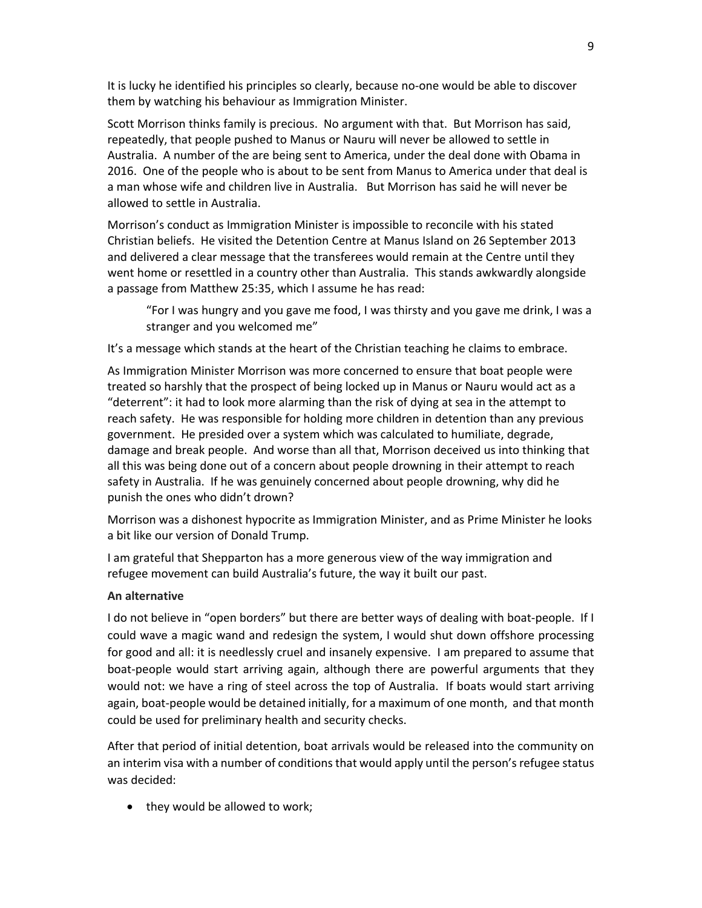It is lucky he identified his principles so clearly, because no-one would be able to discover them by watching his behaviour as Immigration Minister.

Scott Morrison thinks family is precious. No argument with that. But Morrison has said, repeatedly, that people pushed to Manus or Nauru will never be allowed to settle in Australia. A number of the are being sent to America, under the deal done with Obama in 2016. One of the people who is about to be sent from Manus to America under that deal is a man whose wife and children live in Australia. But Morrison has said he will never be allowed to settle in Australia.

Morrison's conduct as Immigration Minister is impossible to reconcile with his stated Christian beliefs. He visited the Detention Centre at Manus Island on 26 September 2013 and delivered a clear message that the transferees would remain at the Centre until they went home or resettled in a country other than Australia. This stands awkwardly alongside a passage from Matthew 25:35, which I assume he has read:

"For I was hungry and you gave me food, I was thirsty and you gave me drink, I was a stranger and you welcomed me"

It's a message which stands at the heart of the Christian teaching he claims to embrace.

As Immigration Minister Morrison was more concerned to ensure that boat people were treated so harshly that the prospect of being locked up in Manus or Nauru would act as a "deterrent": it had to look more alarming than the risk of dying at sea in the attempt to reach safety. He was responsible for holding more children in detention than any previous government. He presided over a system which was calculated to humiliate, degrade, damage and break people. And worse than all that, Morrison deceived us into thinking that all this was being done out of a concern about people drowning in their attempt to reach safety in Australia. If he was genuinely concerned about people drowning, why did he punish the ones who didn't drown?

Morrison was a dishonest hypocrite as Immigration Minister, and as Prime Minister he looks a bit like our version of Donald Trump.

I am grateful that Shepparton has a more generous view of the way immigration and refugee movement can build Australia's future, the way it built our past.

## **An alternative**

I do not believe in "open borders" but there are better ways of dealing with boat-people. If I could wave a magic wand and redesign the system, I would shut down offshore processing for good and all: it is needlessly cruel and insanely expensive. I am prepared to assume that boat-people would start arriving again, although there are powerful arguments that they would not: we have a ring of steel across the top of Australia. If boats would start arriving again, boat‐people would be detained initially, for a maximum of one month, and that month could be used for preliminary health and security checks.

After that period of initial detention, boat arrivals would be released into the community on an interim visa with a number of conditions that would apply until the person's refugee status was decided:

• they would be allowed to work;